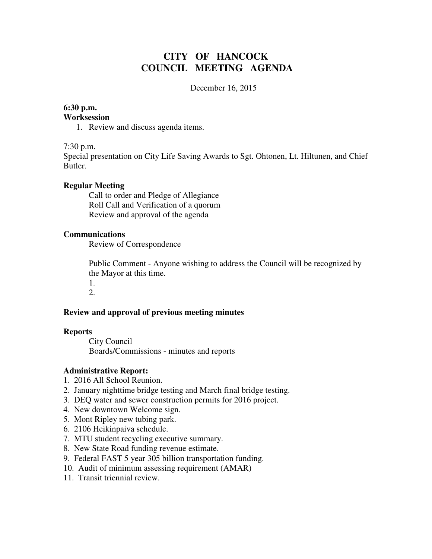# **CITY OF HANCOCK COUNCIL MEETING AGENDA**

December 16, 2015

## **6:30 p.m.**

#### **Worksession**

1. Review and discuss agenda items.

#### 7:30 p.m.

Special presentation on City Life Saving Awards to Sgt. Ohtonen, Lt. Hiltunen, and Chief Butler.

### **Regular Meeting**

 Call to order and Pledge of Allegiance Roll Call and Verification of a quorum Review and approval of the agenda

### **Communications**

Review of Correspondence

 Public Comment - Anyone wishing to address the Council will be recognized by the Mayor at this time.

1. 2.

## **Review and approval of previous meeting minutes**

#### **Reports**

City Council Boards/Commissions - minutes and reports

## **Administrative Report:**

- 1. 2016 All School Reunion.
- 2. January nighttime bridge testing and March final bridge testing.
- 3. DEQ water and sewer construction permits for 2016 project.
- 4. New downtown Welcome sign.
- 5. Mont Ripley new tubing park.
- 6. 2106 Heikinpaiva schedule.
- 7. MTU student recycling executive summary.
- 8. New State Road funding revenue estimate.
- 9. Federal FAST 5 year 305 billion transportation funding.
- 10. Audit of minimum assessing requirement (AMAR)
- 11. Transit triennial review.